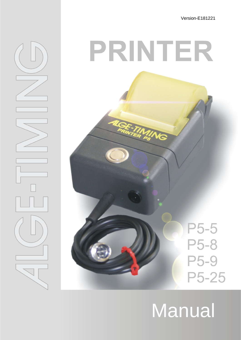Version-E181221





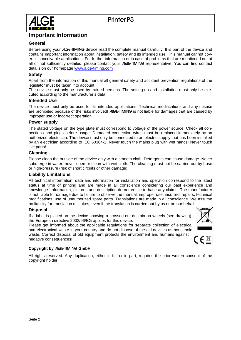

### **Important Information**

### **General**

Before using your ALGE-TIMING device read the complete manual carefully. It is part of the device and contains important information about installation, safety and its intended use. This manual cannot cover all conceivable applications. For further information or in case of problems that are mentioned not at all or not sufficiently detailed, please contact your ALGE-TIMING representative. You can find contact details on our homepage [www.alge-timing.com](http://www.alge-timing.com/)

### **Safety**

Apart from the information of this manual all general safety and accident prevention regulations of the legislator must be taken into account.

The device must only be used by trained persons. The setting-up and installation must only be executed according to the manufacturer's data.

### **Intended Use**

The device must only be used for its intended applications. Technical modifications and any misuse are prohibited because of the risks involved! ALGE-TIMING is not liable for damages that are caused by improper use or incorrect operation.

### **Power supply**

The stated voltage on the type plate must correspond to voltage of the power source. Check all connections and plugs before usage. Damaged connection wires must be replaced immediately by an authorized electrician. The device must only be connected to an electric supply that has been installed by an electrician according to IEC 60364-1. Never touch the mains plug with wet hands! Never touch live parts!

### **Cleaning**

Please clean the outside of the device only with a smooth cloth. Detergents can cause damage. Never submerge in water, never open or clean with wet cloth. The cleaning must not be carried out by hose or high-pressure (risk of short circuits or other damage).

### **Liability Limitations**

All technical information, data and information for installation and operation correspond to the latest status at time of printing and are made in all conscience considering our past experience and knowledge. Information, pictures and description do not entitle to base any claims. The manufacturer is not liable for damage due to failure to observe the manual, improper use, incorrect repairs, technical modifications, use of unauthorized spare parts. Translations are made in all conscience. We assume no liability for translation mistakes, even if the translation is carried out by us or on our behalf.

### **Disposal**

If a label is placed on the device showing a crossed out dustbin on wheels (see drawing), the European directive 2002/96/EG applies for this device.

Please get informed about the applicable regulations for separate collection of electrical and electronical waste in your country and do not dispose of the old devices as household waste. Correct disposal of old equipment protects the environment and humans against negative consequences!



### **Copyright by** ALGE-TIMING **GmbH**

All rights reserved. Any duplication, either in full or in part, requires the prior written consent of the copyright holder.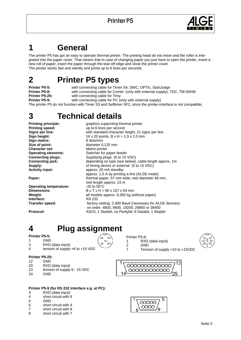

# **1 General**

The printer P5 has got an easy to operate thermal printer. The printing head do not move and the roller is integrated into the paper cover. That means that in case of changing paper you just have to open the printer, insert a new roll of paper, insert the paper through the tear-off edge and close the printer cover. The printer works fast and silently and prints up to 6 lines per seconds.

# **2 Printer P5 types**

**Printer P5-5:** with connecting cable for Timer S4, SWC, OPTIc, StartJudge **Printer P5-8:** with connecting cable for Comet (only with external supply). **Printer P5-8:** with connecting cable for Comet (only with external supply), TDC, TM-SWIM<br>**Printer P5-25:** with connecting cable for Timy **Printer P5-25:** with connecting cable for Timy<br>**Printer P5-9:** with connecting cable for PC (c with connecting cable for PC (only with external supply)

The printer P5 do not function with Timer S3 and Selftimer SF2, since the printer-interface is not compatible.

**Sign height:** 16 x 20 points, B x H = 1,9 x 2.0 mm

approx. 1,5 A by printing a line (ALGE-mode)

all models approx. 0,350 kg (without paper)

on order: 4800, 9600, 19200, 28800 or 38400

Supplying plugs (6 to 15 VDC)

**Activity input:** approx. 20 mA standby

reel length approx. 23 m

50  $\circ$  $O<sub>1</sub>$  $O<sub>3</sub>$ 40

up to 6 lines per second

## **3 Technical details**

**Printing principle:** graphics supporting thermal printer<br> **Printing speed:** up to 6 lines per second **Signs per line:** with standard character height, 21 signs per line<br> **Sign height:** 16 x 20 points, B x H = 1,9 x 2.0 mm **Sign matrix: Size of point:** diameter 0,125 mm<br> **Character set:** Matrix printer **Character set:**<br>Operating elements: **Operating elements:** Switcher for paper feeder<br> **Connecting plugs:** Supplying plugs (6 to 15) **Connecting jack:** depending on type (see below), cable length approx. 1m<br> **Supply:** of timing device or external (5 to 15 VDC) **Supply:** of timing device or external (5 to 15 VDC)<br> **Activity input:** approx. 20 mA standby

**Paper: Paper: hermal paper, 57 mm wide, reel diameter 49 mm,** 

**Operating temperature:** -20 to 55°C<br>**Dimensions:** B x T x H = **Dimensions:** B x T x H = 90 x 157 x 64 mm<br> **Weight:** all models approx. 0,350 kg (v **Interface:** RS 232 **Transfer speed:** factory setting: 2.400 Baud (necessary for ALGE devices)

**Protocol:** ASCII, 1 Startbit, no Paritybit, 8 Databit, 1 Stopbit

### **4 Plug assignment**

### **Printer P5-5:**

- 1 GND<br>3 RXD
	-
- 3 RXD (data input)<br>4 tension of supply tension of supply  $+6$  to  $+15$  VDC

### **Printer P5-25:**

- 12 GND<br>20 RXD
- 20 RXD (data input)<br>23 tension of supply
- 23 tension of supply 6 15 VDC<br>24 GND
- **GND**

Printer P5-8: 1 RXD (data input)<br>2 GND

- 2 GND<br>7 Tens
	- 7 Tension of supply +10 to +15VDC





### **Printer P5-9 (for RS 232 interface e.g. at PC):**

- 3 RXD (data input)
- 4 short circuit with 6<br>5 GND
- **GND**
- 6 short circuit with 4
- 7 short circuit with 8<br>8 short circuit with 7
- short circuit with 7

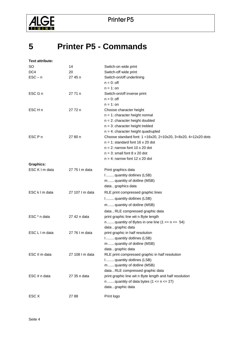

### **5 Printer P5 - Commands**

| <b>Text attribute:</b> |                 |                                                                |
|------------------------|-----------------|----------------------------------------------------------------|
| <b>SO</b>              | 14              | Switch-on wide print                                           |
| DC4                    | 20              | Switch-off wide print                                          |
| $ESC - n$              | 27 45 n         | Switch-on/off underlining                                      |
|                        |                 | $n = 0$ : off                                                  |
|                        |                 | $n = 1:$ on                                                    |
| ESC G n                | 27 71 n         | Switch-on/off inverse print                                    |
|                        |                 | $n = 0$ : off                                                  |
|                        |                 | $n = 1:$ on                                                    |
| ESC <sub>Hn</sub>      | 27 72 n         | Choose character height                                        |
|                        |                 | $n = 1$ : character height normal                              |
|                        |                 | $n = 2$ : character height doubled                             |
|                        |                 | $n = 3$ : character height trebled                             |
|                        |                 | $n = 4$ : character height quadrupled                          |
| ESC P n                | 2780 n          | Choose standard font: 1 = 16x20, 2=10x20, 3=8x20, 4=12x20 dots |
|                        |                 | $n = 1$ : standard font 16 x 20 dot                            |
|                        |                 | $n = 2$ : narrow font 10 x 20 dot                              |
|                        |                 | $n = 3$ : small font 8 x 20 dot                                |
|                        |                 | $n = 4$ : narrow font 12 x 20 dot                              |
| Graphics:              |                 |                                                                |
| ESC K I m data         | 27 75 l m data  | Print graphics data                                            |
|                        |                 | I  quantity dotlines (LSB)                                     |
|                        |                 | m  quantity of dotline (MSB)                                   |
|                        |                 | data  graphics data                                            |
| ESC k I m data         | 27 107 l m data | RLE print compressed graphic lines                             |
|                        |                 | I  quantity dotlines (LSB)                                     |
|                        |                 | m  quantity of dotline (MSB)                                   |
|                        |                 | data  RLE compressed graphic data                              |
| ESC * n data           | 27 42 n data    | print graphic line wit n Byte length                           |
|                        |                 | n  quantity of Bytes in one line $(1 \le n \le 54)$            |
|                        |                 | data  graphic data                                             |
| ESC L I m data         | 27 76 l m data  | print graphic in half resolution                               |
|                        |                 | Iquantity dotlines (LSB)                                       |
|                        |                 | m  quantity of dotline (MSB)                                   |
|                        |                 | datagraphic data                                               |
| ESC II m data          | 27 108 l m data | RLE print compressed graphic in half resolution                |
|                        |                 | Iquantity dotlines (LSB)                                       |
|                        |                 | m  quantity of dotline (MSB)                                   |
|                        |                 | data  RLE compressed graphic data                              |
| ESC # n data           | 27 35 n data    | print graphic line wit n Byte length and half resolution       |
|                        |                 | n  quantity of data bytes $(1 \le n \le 27)$                   |
|                        |                 | data  graphic data                                             |
| ESC X                  | 2788            | Print logo                                                     |
|                        |                 |                                                                |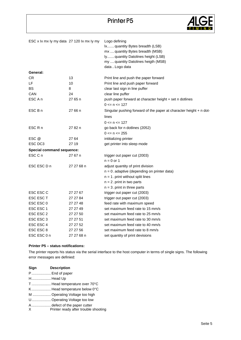### Printer P5



| ESC x lx mx ly my data 27 120 lx mx ly my |            | Logo defining<br>Ix quantity Bytes breadth (LSB)<br>mx  quantity Bytes breadth (MSB)<br>ly quantity Datolines height (LSB)<br>my  quantity Datolines heigth (MSB)<br>data  Logo data |
|-------------------------------------------|------------|--------------------------------------------------------------------------------------------------------------------------------------------------------------------------------------|
| General:                                  |            |                                                                                                                                                                                      |
| СR                                        | 13         | Print line and push the paper forward                                                                                                                                                |
| LF                                        | 10         | Print line and push paper forward                                                                                                                                                    |
| BS                                        | 8          | clear last sign in line puffer                                                                                                                                                       |
| CAN                                       | 24         | clear line puffer                                                                                                                                                                    |
| ESC A n                                   | 27 65 n    | push paper forward at character height + set n dotlines<br>$0 \le n \le 127$                                                                                                         |
| ESC B n                                   | 27 66 n    | Singular pushing forward of the paper at character height + n dot-<br>lines                                                                                                          |
|                                           |            | $0 \le n \le 127$                                                                                                                                                                    |
| ESC R n                                   | 27 82 n    | go back for n dotlines (2052)                                                                                                                                                        |
|                                           |            | $0 \leq n \leq 255$                                                                                                                                                                  |
| ESC @                                     | 27 64      | intitializing printer                                                                                                                                                                |
| ESC DC3                                   | 27 19      | get printer into sleep mode                                                                                                                                                          |
| <b>Special command sequence:</b>          |            |                                                                                                                                                                                      |
| ESC C n                                   | 27 67 n    | trigger out paper cut (2003)<br>$n = 0$ or 1                                                                                                                                         |
| ESC ESC D n                               | 27 27 68 n | adjust quantity of print division                                                                                                                                                    |
|                                           |            | $n = 0$ . adaptive (depending on printer data)                                                                                                                                       |
|                                           |            | $n = 1$ . print without split lines                                                                                                                                                  |
|                                           |            | $n = 2$ . print in two parts                                                                                                                                                         |
|                                           |            | $n = 3$ . print in three parts                                                                                                                                                       |
| ESC ESC C                                 | 27 27 67   | trigger out paper cut (2003)                                                                                                                                                         |
| ESC ESC T                                 | 27 27 84   | trigger out paper cut (2003)                                                                                                                                                         |
| ESC ESC 0                                 | 27 27 48   | feed rate with maximum speed                                                                                                                                                         |
| ESC ESC 1                                 | 27 27 49   | set maximum feed rate to 15 mm/s                                                                                                                                                     |
| ESC ESC 2                                 | 27 27 50   | set maximum feed rate to 25 mm/s                                                                                                                                                     |
| ESC ESC 3                                 | 27 27 51   | set maximum feed rate to 30 mm/s                                                                                                                                                     |
| ESC ESC 4                                 | 27 27 52   | set maximum feed rate to 40 mm/s                                                                                                                                                     |
| ESC ESC 8                                 | 27 27 56   | set maximum feed rate to 8 mm/s                                                                                                                                                      |
| ESC ESC 0 n                               | 27 27 68 n | set quantity of print devisions                                                                                                                                                      |

### **Printer P5 – status notifications:**

The printer reports his status via the serial interface to the host computer in terms of single signs. The following error messages are definied:

| Sign | <b>Description</b>                   |
|------|--------------------------------------|
|      | P End of paper                       |
|      | H Head Up                            |
|      | T  Head temperature over 70°C        |
|      | K Head temperature below 0°C         |
|      | M  Operating Voltage too high        |
|      | U Operating Voltage too low          |
|      | A defect of the paper cutter         |
| X    | Printer ready after trouble shooting |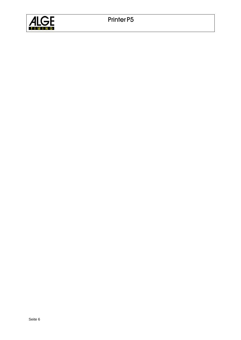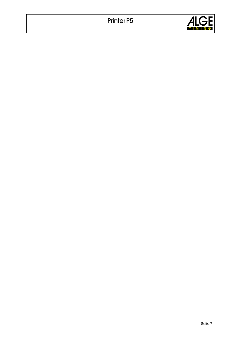### Printer P5